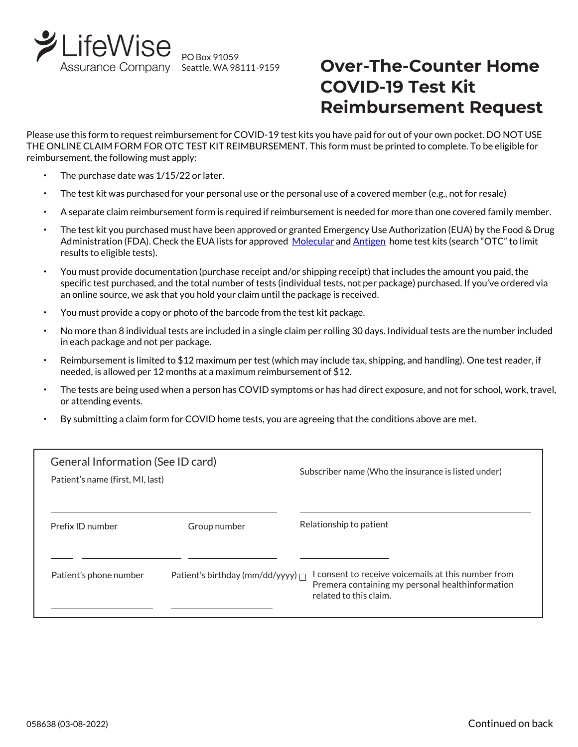

## **Over-The-Counter Home COVID-19 Test Kit Reimbursement Request**

Please use this form to request reimbursement for COVID-19 test kits you have paid for out of your own pocket. DO NOT USE THE ONLINE CLAIM FORM FOR OTC TEST KIT REIMBURSEMENT. This form must be printed to complete. To be eligible for reimbursement, the following must apply:

- The purchase date was 1/15/22 or later.
- The test kit was purchased for your personal use or the personal use of a covered member (e.g., not for resale)
- A separate claim reimbursement form is required if reimbursement is needed for more than one covered family member.
- The test kit you purchased must have been approved or granted Emergency Use Authorization (EUA) by the Food & Drug Administration (FDA). Check the EUA lists for approved [Molecular](https://www.fda.gov/medical-devices/coronavirus-disease-2019-covid-19-emergency-use-authorizations-medical-devices/in-vitro-diagnostics-euas-molecular-diagnostic-tests-sars-cov-2) an[d Antigen](https://www.fda.gov/medical-devices/coronavirus-disease-2019-covid-19-emergency-use-authorizations-medical-devices/in-vitro-diagnostics-euas-antigen-diagnostic-tests-sars-cov-2) home test kits (search "OTC" to limit results to eligible tests).
- You must provide documentation (purchase receipt and/or shipping receipt) that includes the amount you paid, the specific test purchased, and the total number of tests (individual tests, not per package) purchased. If you've ordered via an online source, we ask that you hold your claim until the package is received.
- You must provide a copy or photo of the barcode from the test kit package.
- No more than 8 individual tests are included in a single claim per rolling 30 days. Individual tests are the number included in each package and not per package.
- Reimbursement is limited to \$12 maximum per test (which may include tax, shipping, and handling). One test reader, if needed, is allowed per 12 months at a maximum reimbursement of \$12.
- The tests are being used when a person has COVID symptoms or has had direct exposure, and not for school, work, travel, or attending events.
- By submitting a claim form for COVID home tests, you are agreeing that the conditions above are met.

| General Information (See ID card)<br>Patient's name (first, MI, last) |                                        | Subscriber name (Who the insurance is listed under)                                                                               |  |
|-----------------------------------------------------------------------|----------------------------------------|-----------------------------------------------------------------------------------------------------------------------------------|--|
| Prefix ID number                                                      | Group number                           | Relationship to patient                                                                                                           |  |
| Patient's phone number                                                | Patient's birthday (mm/dd/yyyy) $\Box$ | I consent to receive voicemails at this number from<br>Premera containing my personal healthinformation<br>related to this claim. |  |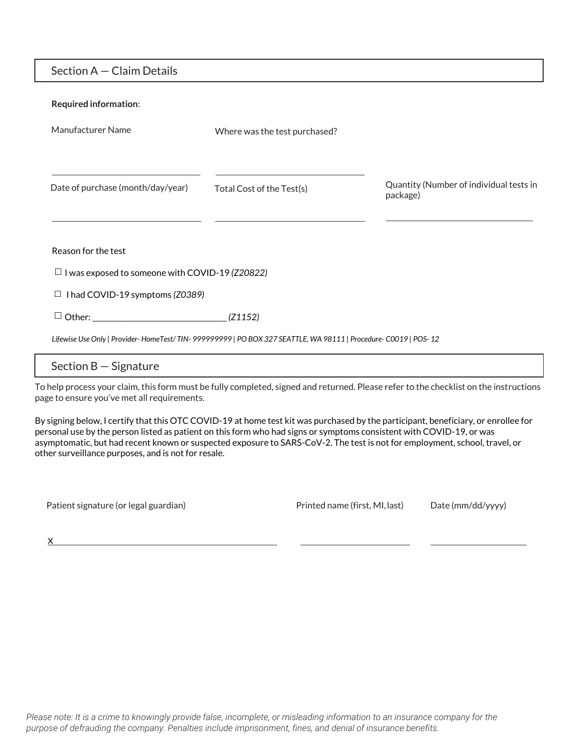Section A — Claim Details

| <b>Required information:</b>                                                                                  |                               |                                                     |  |  |
|---------------------------------------------------------------------------------------------------------------|-------------------------------|-----------------------------------------------------|--|--|
| Manufacturer Name                                                                                             | Where was the test purchased? |                                                     |  |  |
| Date of purchase (month/day/year)                                                                             | Total Cost of the Test(s)     | Quantity (Number of individual tests in<br>package) |  |  |
| Reason for the test<br>$\Box$ I was exposed to someone with COVID-19 (Z20822)                                 |                               |                                                     |  |  |
| $\Box$ I had COVID-19 symptoms (Z0389)                                                                        |                               |                                                     |  |  |
| $\Box$ Other: $\Box$                                                                                          | (Z1152)                       |                                                     |  |  |
| Lifewise Use Only   Provider-HomeTest/TIN-999999999   PO BOX 327 SEATTLE, WA 98111   Procedure-C0019   POS-12 |                               |                                                     |  |  |
| Section $B -$ Signature                                                                                       |                               |                                                     |  |  |

To help process your claim, this form must be fully completed, signed and returned. Please refer to the checklist on the instructions page to ensure you've met all requirements.

By signing below, I certify that this OTC COVID-19 at home test kit was purchased by the participant, beneficiary, or enrollee for personal use by the person listed as patient on this form who had signs or symptoms consistent with COVID-19, or was asymptomatic, but had recent known or suspected exposure to SARS-CoV-2. The test is not for employment, school, travel, or other surveillance purposes, and is not for resale.

Patient signature (or legal guardian) Printed name (first, MI,last) Date (mm/dd/yyyy)

x